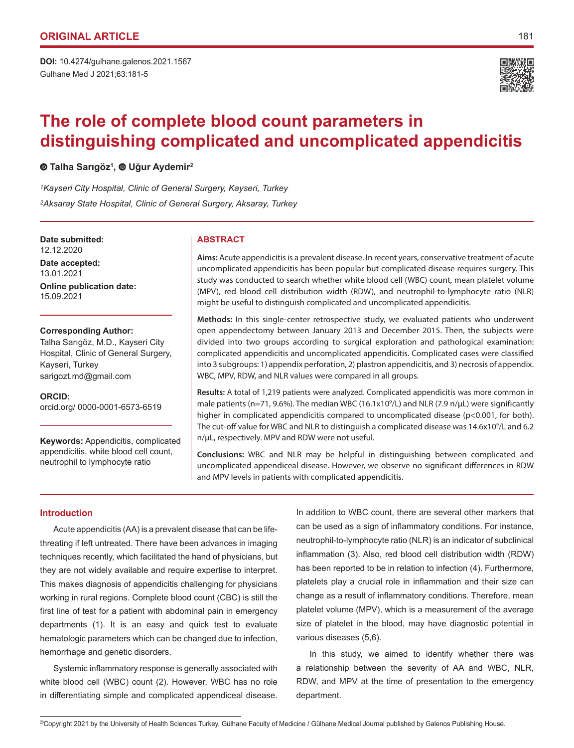**DOI:** 10.4274/gulhane.galenos.2021.1567 Gulhane Med J 2021;63:181-5



# **The role of complete blood count parameters in distinguishing complicated and uncomplicated appendicitis**

# **Talha Sarıgöz<sup>1</sup> ,Uğur Aydemir<sup>2</sup>**

*1Kayseri City Hospital, Clinic of General Surgery, Kayseri, Turkey 2Aksaray State Hospital, Clinic of General Surgery, Aksaray, Turkey*

#### **Date submitted: ABSTRACT** 12.12.2020

**Date accepted:** 13.01.2021

**Online publication date:** 15.09.2021

### **Corresponding Author:**

Talha Sarıgöz, M.D., Kayseri City Hospital, Clinic of General Surgery, Kayseri, Turkey sarigozt.md@gmail.com

**ORCID:**  orcid.org/ 0000-0001-6573-6519

**Keywords:** Appendicitis, complicated appendicitis, white blood cell count, neutrophil to lymphocyte ratio

**Aims:** Acute appendicitis is a prevalent disease. In recent years, conservative treatment of acute uncomplicated appendicitis has been popular but complicated disease requires surgery. This study was conducted to search whether white blood cell (WBC) count, mean platelet volume (MPV), red blood cell distribution width (RDW), and neutrophil-to-lymphocyte ratio (NLR) might be useful to distinguish complicated and uncomplicated appendicitis.

**Methods:** In this single-center retrospective study, we evaluated patients who underwent open appendectomy between January 2013 and December 2015. Then, the subjects were divided into two groups according to surgical exploration and pathological examination: complicated appendicitis and uncomplicated appendicitis. Complicated cases were classified into 3 subgroups: 1) appendix perforation, 2) plastron appendicitis, and 3) necrosis of appendix. WBC, MPV, RDW, and NLR values were compared in all groups.

**Results:** A total of 1,219 patients were analyzed. Complicated appendicitis was more common in male patients (n=71, 9.6%). The median WBC (16.1x10<sup>9</sup>/L) and NLR (7.9 n/ $\mu$ L) were significantly higher in complicated appendicitis compared to uncomplicated disease (p<0.001, for both). The cut-off value for WBC and NLR to distinguish a complicated disease was 14.6x109 /L and 6.2 n/µL, respectively. MPV and RDW were not useful.

**Conclusions:** WBC and NLR may be helpful in distinguishing between complicated and uncomplicated appendiceal disease. However, we observe no significant differences in RDW and MPV levels in patients with complicated appendicitis.

## **Introduction**

Acute appendicitis (AA) is a prevalent disease that can be lifethreating if left untreated. There have been advances in imaging techniques recently, which facilitated the hand of physicians, but they are not widely available and require expertise to interpret. This makes diagnosis of appendicitis challenging for physicians working in rural regions. Complete blood count (CBC) is still the first line of test for a patient with abdominal pain in emergency departments (1). It is an easy and quick test to evaluate hematologic parameters which can be changed due to infection, hemorrhage and genetic disorders.

Systemic inflammatory response is generally associated with white blood cell (WBC) count (2). However, WBC has no role in differentiating simple and complicated appendiceal disease.

In addition to WBC count, there are several other markers that can be used as a sign of inflammatory conditions. For instance, neutrophil-to-lymphocyte ratio (NLR) is an indicator of subclinical inflammation (3). Also, red blood cell distribution width (RDW) has been reported to be in relation to infection (4). Furthermore, platelets play a crucial role in inflammation and their size can change as a result of inflammatory conditions. Therefore, mean platelet volume (MPV), which is a measurement of the average size of platelet in the blood, may have diagnostic potential in various diseases (5,6).

In this study, we aimed to identify whether there was a relationship between the severity of AA and WBC, NLR, RDW, and MPV at the time of presentation to the emergency department.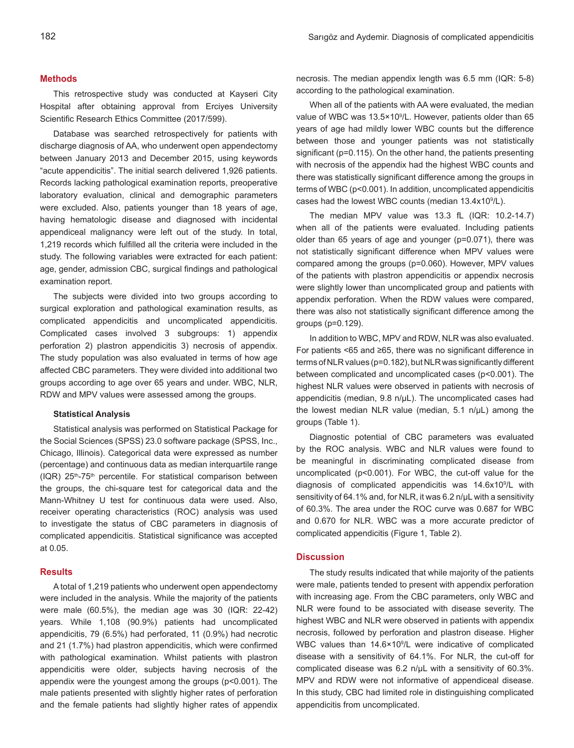#### **Methods**

This retrospective study was conducted at Kayseri City Hospital after obtaining approval from Erciyes University Scientific Research Ethics Committee (2017/599).

Database was searched retrospectively for patients with discharge diagnosis of AA, who underwent open appendectomy between January 2013 and December 2015, using keywords "acute appendicitis". The initial search delivered 1,926 patients. Records lacking pathological examination reports, preoperative laboratory evaluation, clinical and demographic parameters were excluded. Also, patients younger than 18 years of age, having hematologic disease and diagnosed with incidental appendiceal malignancy were left out of the study. In total, 1,219 records which fulfilled all the criteria were included in the study. The following variables were extracted for each patient: age, gender, admission CBC, surgical findings and pathological examination report.

The subjects were divided into two groups according to surgical exploration and pathological examination results, as complicated appendicitis and uncomplicated appendicitis. Complicated cases involved 3 subgroups: 1) appendix perforation 2) plastron appendicitis 3) necrosis of appendix. The study population was also evaluated in terms of how age affected CBC parameters. They were divided into additional two groups according to age over 65 years and under. WBC, NLR, RDW and MPV values were assessed among the groups.

#### **Statistical Analysis**

Statistical analysis was performed on Statistical Package for the Social Sciences (SPSS) 23.0 software package (SPSS, Inc., Chicago, Illinois). Categorical data were expressed as number (percentage) and continuous data as median interquartile range (IQR) 25<sup>th</sup>-75<sup>th</sup> percentile. For statistical comparison between the groups, the chi-square test for categorical data and the Mann-Whitney U test for continuous data were used. Also, receiver operating characteristics (ROC) analysis was used to investigate the status of CBC parameters in diagnosis of complicated appendicitis. Statistical significance was accepted at 0.05.

#### **Results**

A total of 1,219 patients who underwent open appendectomy were included in the analysis. While the majority of the patients were male (60.5%), the median age was 30 (IQR: 22-42) years. While 1,108 (90.9%) patients had uncomplicated appendicitis, 79 (6.5%) had perforated, 11 (0.9%) had necrotic and 21 (1.7%) had plastron appendicitis, which were confirmed with pathological examination. Whilst patients with plastron appendicitis were older, subjects having necrosis of the appendix were the youngest among the groups (p<0.001). The male patients presented with slightly higher rates of perforation and the female patients had slightly higher rates of appendix necrosis. The median appendix length was 6.5 mm (IQR: 5-8) according to the pathological examination.

When all of the patients with AA were evaluated, the median value of WBC was 13.5×10<sup>9</sup>/L. However, patients older than 65 years of age had mildly lower WBC counts but the difference between those and younger patients was not statistically significant (p=0.115). On the other hand, the patients presenting with necrosis of the appendix had the highest WBC counts and there was statistically significant difference among the groups in terms of WBC (p<0.001). In addition, uncomplicated appendicitis cases had the lowest WBC counts (median 13.4x10<sup>9</sup>/L).

The median MPV value was 13.3 fL (IQR: 10.2-14.7) when all of the patients were evaluated. Including patients older than 65 years of age and younger (p=0.071), there was not statistically significant difference when MPV values were compared among the groups (p=0.060). However, MPV values of the patients with plastron appendicitis or appendix necrosis were slightly lower than uncomplicated group and patients with appendix perforation. When the RDW values were compared, there was also not statistically significant difference among the groups (p=0.129).

In addition to WBC, MPV and RDW, NLR was also evaluated. For patients <65 and ≥65, there was no significant difference in terms of NLR values (p=0.182), but NLR was significantly different between complicated and uncomplicated cases (p<0.001). The highest NLR values were observed in patients with necrosis of appendicitis (median, 9.8 n/µL). The uncomplicated cases had the lowest median NLR value (median, 5.1 n/µL) among the groups (Table 1).

Diagnostic potential of CBC parameters was evaluated by the ROC analysis. WBC and NLR values were found to be meaningful in discriminating complicated disease from uncomplicated (p<0.001). For WBC, the cut-off value for the diagnosis of complicated appendicitis was 14.6x10<sup>9</sup>/L with sensitivity of 64.1% and, for NLR, it was 6.2 n/µL with a sensitivity of 60.3%. The area under the ROC curve was 0.687 for WBC and 0.670 for NLR. WBC was a more accurate predictor of complicated appendicitis (Figure 1, Table 2).

#### **Discussion**

The study results indicated that while majority of the patients were male, patients tended to present with appendix perforation with increasing age. From the CBC parameters, only WBC and NLR were found to be associated with disease severity. The highest WBC and NLR were observed in patients with appendix necrosis, followed by perforation and plastron disease. Higher WBC values than 14.6×10<sup>9</sup>/L were indicative of complicated disease with a sensitivity of 64.1%. For NLR, the cut-off for complicated disease was 6.2 n/µL with a sensitivity of 60.3%. MPV and RDW were not informative of appendiceal disease. In this study, CBC had limited role in distinguishing complicated appendicitis from uncomplicated.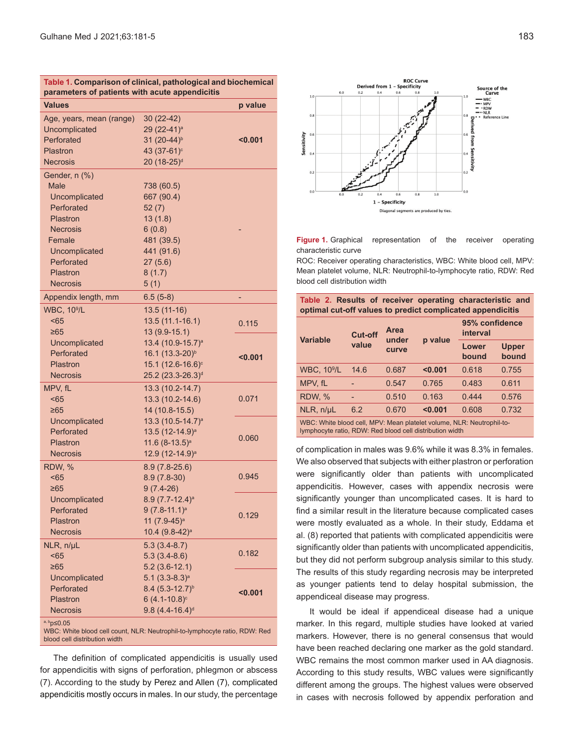| Table 1. Comparison of clinical, pathological and biochemical<br>parameters of patients with acute appendicitis                                                    |                                                                                                                                |         |  |  |  |  |
|--------------------------------------------------------------------------------------------------------------------------------------------------------------------|--------------------------------------------------------------------------------------------------------------------------------|---------|--|--|--|--|
| <b>Values</b>                                                                                                                                                      |                                                                                                                                | p value |  |  |  |  |
| Age, years, mean (range)<br>Uncomplicated<br>Perforated<br>Plastron<br><b>Necrosis</b>                                                                             | 30 (22-42)<br>29 (22-41) <sup>a</sup><br>31 (20-44) <sup>b</sup><br>43 (37-61) <sup>c</sup><br>20 (18-25) <sup>d</sup>         | < 0.001 |  |  |  |  |
| Gender, n (%)<br><b>Male</b><br>Uncomplicated<br>Perforated<br>Plastron<br><b>Necrosis</b><br>Female<br>Uncomplicated<br>Perforated<br>Plastron<br><b>Necrosis</b> | 738 (60.5)<br>667 (90.4)<br>52(7)<br>13(1.8)<br>6(0.8)<br>481 (39.5)<br>441 (91.6)<br>27(5.6)<br>8(1.7)<br>5(1)                |         |  |  |  |  |
| Appendix length, mm                                                                                                                                                | $6.5(5-8)$                                                                                                                     |         |  |  |  |  |
| <b>WBC, 10<sup>9</sup>/L</b><br>< 65<br>≥65                                                                                                                        | $13.5(11-16)$<br>13.5 (11.1-16.1)<br>13 (9.9-15.1)                                                                             | 0.115   |  |  |  |  |
| Uncomplicated<br>Perforated<br>Plastron<br><b>Necrosis</b>                                                                                                         | 13.4 (10.9-15.7) <sup>a</sup><br>16.1 (13.3-20) <sup>b</sup><br>15.1 (12.6-16.6) <sup>c</sup><br>25.2 (23.3-26.3) <sup>d</sup> | < 0.001 |  |  |  |  |
| MPV, fL<br>< 65<br>≥65                                                                                                                                             | 13.3 (10.2-14.7)<br>13.3 (10.2-14.6)<br>14 (10.8-15.5)                                                                         | 0.071   |  |  |  |  |
| Uncomplicated<br>Perforated<br>Plastron<br><b>Necrosis</b>                                                                                                         | 13.3 (10.5-14.7) <sup>a</sup><br>13.5 (12-14.9) <sup>a</sup><br>$11.6(8-13.5)^a$<br>12.9 (12-14.9) <sup>a</sup>                | 0.060   |  |  |  |  |
| RDW, %<br>< 65<br>≥65                                                                                                                                              | $8.9(7.8-25.6)$<br>$8.9(7.8-30)$<br>$9(7.4-26)$                                                                                | 0.945   |  |  |  |  |
| Uncomplicated<br>Perforated<br>Plastron<br><b>Necrosis</b>                                                                                                         | $8.9(7.7-12.4)^a$<br>$9(7.8-11.1)^a$<br>11 (7.9-45) <sup>a</sup><br>10.4 (9.8-42) <sup>a</sup>                                 | 0.129   |  |  |  |  |
| NLR, n/µL<br>$65$<br>$\geq 65$                                                                                                                                     | $5.3(3.4-8.7)$<br>$5.3(3.4-8.6)$<br>$5.2(3.6-12.1)$                                                                            | 0.182   |  |  |  |  |
| Uncomplicated<br>Perforated<br>Plastron<br><b>Necrosis</b>                                                                                                         | $5.1 (3.3 - 8.3)a$<br>$8.4 (5.3 - 12.7)^{b}$<br>$6(4.1 - 10.8)^c$<br>$9.8(4.4 - 16.4)$ <sup>d</sup>                            | < 0.001 |  |  |  |  |
| $a, b$ p $\leq 0.05$                                                                                                                                               |                                                                                                                                |         |  |  |  |  |

WBC: White blood cell count, NLR: Neutrophil-to-lymphocyte ratio, RDW: Red blood cell distribution width

The definition of complicated appendicitis is usually used for appendicitis with signs of perforation, phlegmon or abscess (7). According to the study by Perez and Allen (7), complicated appendicitis mostly occurs in males. In our study, the percentage



**Figure 1.** Graphical representation of the receiver operating characteristic curve

ROC: Receiver operating characteristics, WBC: White blood cell, MPV: Mean platelet volume, NLR: Neutrophil-to-lymphocyte ratio, RDW: Red blood cell distribution width

|                                                                       | Table 2. Results of receiver operating characteristic and<br>optimal cut-off values to predict complicated appendicitis |       |               |                |                            |       |  |
|-----------------------------------------------------------------------|-------------------------------------------------------------------------------------------------------------------------|-------|---------------|----------------|----------------------------|-------|--|
|                                                                       | <b>Cut-off</b><br><b>Variable</b><br>value                                                                              |       | Area<br>under |                | 95% confidence<br>interval |       |  |
|                                                                       |                                                                                                                         | curve | p value       | Lower<br>bound | <b>Upper</b><br>bound      |       |  |
|                                                                       | <b>WBC, 10<sup>9</sup>/L</b>                                                                                            | 14.6  | 0.687         | < 0.001        | 0.618                      | 0.755 |  |
|                                                                       | MPV. fL                                                                                                                 |       | 0.547         | 0.765          | 0.483                      | 0.611 |  |
|                                                                       | RDW, %                                                                                                                  |       | 0.510         | 0.163          | 0.444                      | 0.576 |  |
|                                                                       | NLR, n/µL                                                                                                               | 6.2   | 0.670         | < 0.001        | 0.608                      | 0.732 |  |
| WBC: White blood cell, MPV: Mean platelet volume, NLR: Neutrophil-to- |                                                                                                                         |       |               |                |                            |       |  |

lymphocyte ratio, RDW: Red blood cell distribution width

of complication in males was 9.6% while it was 8.3% in females. We also observed that subjects with either plastron or perforation were significantly older than patients with uncomplicated appendicitis. However, cases with appendix necrosis were significantly younger than uncomplicated cases. It is hard to find a similar result in the literature because complicated cases were mostly evaluated as a whole. In their study, Eddama et al. (8) reported that patients with complicated appendicitis were significantly older than patients with uncomplicated appendicitis, but they did not perform subgroup analysis similar to this study. The results of this study regarding necrosis may be interpreted as younger patients tend to delay hospital submission, the appendiceal disease may progress.

It would be ideal if appendiceal disease had a unique marker. In this regard, multiple studies have looked at varied markers. However, there is no general consensus that would have been reached declaring one marker as the gold standard. WBC remains the most common marker used in AA diagnosis. According to this study results, WBC values were significantly different among the groups. The highest values were observed in cases with necrosis followed by appendix perforation and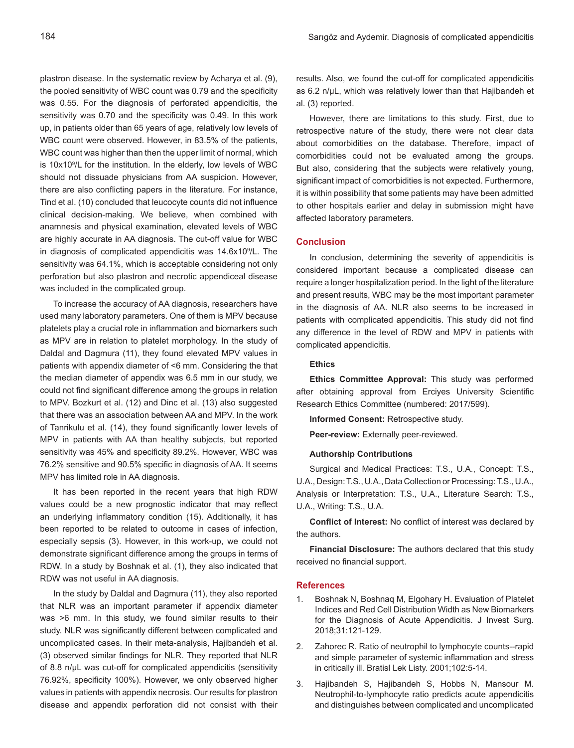plastron disease. In the systematic review by Acharya et al. (9), the pooled sensitivity of WBC count was 0.79 and the specificity was 0.55. For the diagnosis of perforated appendicitis, the sensitivity was 0.70 and the specificity was 0.49. In this work up, in patients older than 65 years of age, relatively low levels of WBC count were observed. However, in 83.5% of the patients, WBC count was higher than then the upper limit of normal, which is 10x109 /L for the institution. In the elderly, low levels of WBC should not dissuade physicians from AA suspicion. However, there are also conflicting papers in the literature. For instance, Tind et al. (10) concluded that leucocyte counts did not influence clinical decision-making. We believe, when combined with anamnesis and physical examination, elevated levels of WBC are highly accurate in AA diagnosis. The cut-off value for WBC in diagnosis of complicated appendicitis was 14.6x10<sup>9</sup>/L. The sensitivity was 64.1%, which is acceptable considering not only perforation but also plastron and necrotic appendiceal disease was included in the complicated group.

To increase the accuracy of AA diagnosis, researchers have used many laboratory parameters. One of them is MPV because platelets play a crucial role in inflammation and biomarkers such as MPV are in relation to platelet morphology. In the study of Daldal and Dagmura (11), they found elevated MPV values in patients with appendix diameter of <6 mm. Considering the that the median diameter of appendix was 6.5 mm in our study, we could not find significant difference among the groups in relation to MPV. Bozkurt et al. (12) and Dinc et al. (13) also suggested that there was an association between AA and MPV. In the work of Tanrikulu et al. (14), they found significantly lower levels of MPV in patients with AA than healthy subjects, but reported sensitivity was 45% and specificity 89.2%. However, WBC was 76.2% sensitive and 90.5% specific in diagnosis of AA. It seems MPV has limited role in AA diagnosis.

It has been reported in the recent years that high RDW values could be a new prognostic indicator that may reflect an underlying inflammatory condition (15). Additionally, it has been reported to be related to outcome in cases of infection, especially sepsis (3). However, in this work-up, we could not demonstrate significant difference among the groups in terms of RDW. In a study by Boshnak et al. (1), they also indicated that RDW was not useful in AA diagnosis.

In the study by Daldal and Dagmura (11), they also reported that NLR was an important parameter if appendix diameter was >6 mm. In this study, we found similar results to their study. NLR was significantly different between complicated and uncomplicated cases. In their meta-analysis, Hajibandeh et al. (3) observed similar findings for NLR. They reported that NLR of 8.8 n/µL was cut-off for complicated appendicitis (sensitivity 76.92%, specificity 100%). However, we only observed higher values in patients with appendix necrosis. Our results for plastron disease and appendix perforation did not consist with their

results. Also, we found the cut-off for complicated appendicitis as 6.2 n/µL, which was relatively lower than that Hajibandeh et al. (3) reported.

However, there are limitations to this study. First, due to retrospective nature of the study, there were not clear data about comorbidities on the database. Therefore, impact of comorbidities could not be evaluated among the groups. But also, considering that the subjects were relatively young, significant impact of comorbidities is not expected. Furthermore, it is within possibility that some patients may have been admitted to other hospitals earlier and delay in submission might have affected laboratory parameters.

#### **Conclusion**

In conclusion, determining the severity of appendicitis is considered important because a complicated disease can require a longer hospitalization period. In the light of the literature and present results, WBC may be the most important parameter in the diagnosis of AA. NLR also seems to be increased in patients with complicated appendicitis. This study did not find any difference in the level of RDW and MPV in patients with complicated appendicitis.

#### **Ethics**

**Ethics Committee Approval:** This study was performed after obtaining approval from Erciyes University Scientific Research Ethics Committee (numbered: 2017/599).

**Informed Consent:** Retrospective study.

**Peer-review:** Externally peer-reviewed.

#### **Authorship Contributions**

Surgical and Medical Practices: T.S., U.A., Concept: T.S., U.A., Design: T.S., U.A., Data Collection or Processing: T.S., U.A., Analysis or Interpretation: T.S., U.A., Literature Search: T.S., U.A., Writing: T.S., U.A.

**Conflict of Interest:** No conflict of interest was declared by the authors.

**Financial Disclosure:** The authors declared that this study received no financial support.

#### **References**

- 1. Boshnak N, Boshnaq M, Elgohary H. Evaluation of Platelet Indices and Red Cell Distribution Width as New Biomarkers for the Diagnosis of Acute Appendicitis. J Invest Surg. 2018;31:121-129.
- 2. Zahorec R. Ratio of neutrophil to lymphocyte counts--rapid and simple parameter of systemic inflammation and stress in critically ill. Bratisl Lek Listy. 2001;102:5-14.
- 3. Hajibandeh S, Hajibandeh S, Hobbs N, Mansour M. Neutrophil-to-lymphocyte ratio predicts acute appendicitis and distinguishes between complicated and uncomplicated